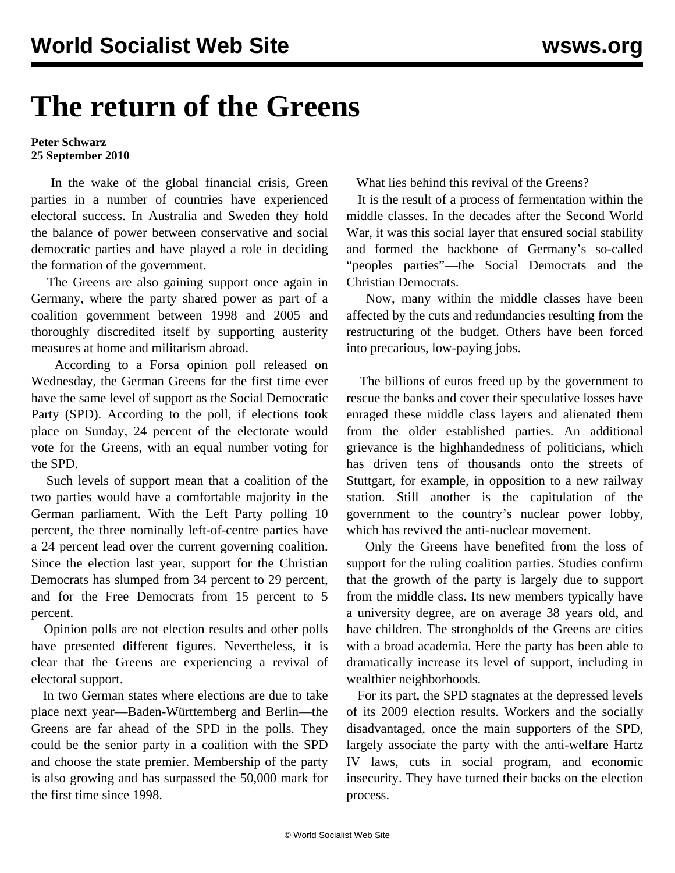## **The return of the Greens**

## **Peter Schwarz 25 September 2010**

 In the wake of the global financial crisis, Green parties in a number of countries have experienced electoral success. In Australia and Sweden they hold the balance of power between conservative and social democratic parties and have played a role in deciding the formation of the government.

 The Greens are also gaining support once again in Germany, where the party shared power as part of a coalition government between 1998 and 2005 and thoroughly discredited itself by supporting austerity measures at home and militarism abroad.

 According to a Forsa opinion poll released on Wednesday, the German Greens for the first time ever have the same level of support as the Social Democratic Party (SPD). According to the poll, if elections took place on Sunday, 24 percent of the electorate would vote for the Greens, with an equal number voting for the SPD.

 Such levels of support mean that a coalition of the two parties would have a comfortable majority in the German parliament. With the Left Party polling 10 percent, the three nominally left-of-centre parties have a 24 percent lead over the current governing coalition. Since the election last year, support for the Christian Democrats has slumped from 34 percent to 29 percent, and for the Free Democrats from 15 percent to 5 percent.

 Opinion polls are not election results and other polls have presented different figures. Nevertheless, it is clear that the Greens are experiencing a revival of electoral support.

 In two German states where elections are due to take place next year—Baden-Württemberg and Berlin—the Greens are far ahead of the SPD in the polls. They could be the senior party in a coalition with the SPD and choose the state premier. Membership of the party is also growing and has surpassed the 50,000 mark for the first time since 1998.

What lies behind this revival of the Greens?

 It is the result of a process of fermentation within the middle classes. In the decades after the Second World War, it was this social layer that ensured social stability and formed the backbone of Germany's so-called "peoples parties"—the Social Democrats and the Christian Democrats.

 Now, many within the middle classes have been affected by the cuts and redundancies resulting from the restructuring of the budget. Others have been forced into precarious, low-paying jobs.

 The billions of euros freed up by the government to rescue the banks and cover their speculative losses have enraged these middle class layers and alienated them from the older established parties. An additional grievance is the highhandedness of politicians, which has driven tens of thousands onto the streets of Stuttgart, for example, in opposition to a new railway station. Still another is the capitulation of the government to the country's nuclear power lobby, which has revived the anti-nuclear movement.

 Only the Greens have benefited from the loss of support for the ruling coalition parties. Studies confirm that the growth of the party is largely due to support from the middle class. Its new members typically have a university degree, are on average 38 years old, and have children. The strongholds of the Greens are cities with a broad academia. Here the party has been able to dramatically increase its level of support, including in wealthier neighborhoods.

 For its part, the SPD stagnates at the depressed levels of its 2009 election results. Workers and the socially disadvantaged, once the main supporters of the SPD, largely associate the party with the anti-welfare Hartz IV laws, cuts in social program, and economic insecurity. They have turned their backs on the election process.